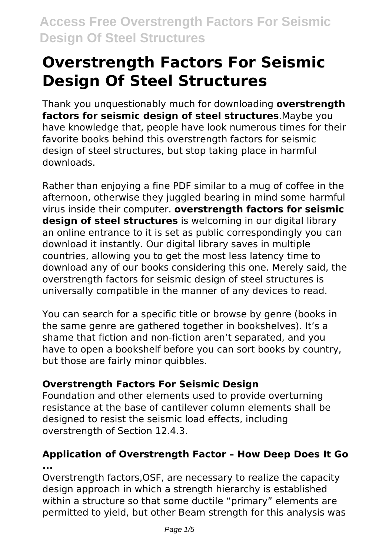Thank you unquestionably much for downloading **overstrength factors for seismic design of steel structures**.Maybe you have knowledge that, people have look numerous times for their favorite books behind this overstrength factors for seismic design of steel structures, but stop taking place in harmful downloads.

Rather than enjoying a fine PDF similar to a mug of coffee in the afternoon, otherwise they juggled bearing in mind some harmful virus inside their computer. **overstrength factors for seismic design of steel structures** is welcoming in our digital library an online entrance to it is set as public correspondingly you can download it instantly. Our digital library saves in multiple countries, allowing you to get the most less latency time to download any of our books considering this one. Merely said, the overstrength factors for seismic design of steel structures is universally compatible in the manner of any devices to read.

You can search for a specific title or browse by genre (books in the same genre are gathered together in bookshelves). It's a shame that fiction and non-fiction aren't separated, and you have to open a bookshelf before you can sort books by country, but those are fairly minor quibbles.

# **Overstrength Factors For Seismic Design**

Foundation and other elements used to provide overturning resistance at the base of cantilever column elements shall be designed to resist the seismic load effects, including overstrength of Section 12.4.3.

# **Application of Overstrength Factor – How Deep Does It Go ...**

Overstrength factors,OSF, are necessary to realize the capacity design approach in which a strength hierarchy is established within a structure so that some ductile "primary" elements are permitted to yield, but other Beam strength for this analysis was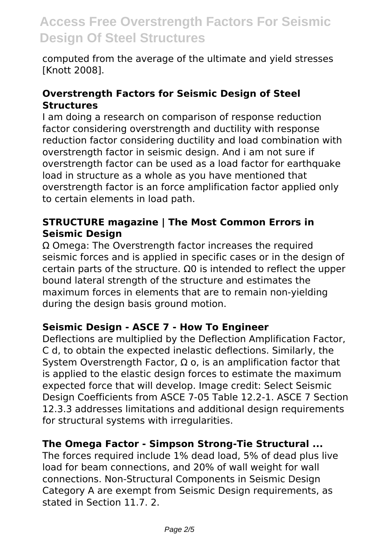computed from the average of the ultimate and yield stresses [Knott 2008].

#### **Overstrength Factors for Seismic Design of Steel Structures**

I am doing a research on comparison of response reduction factor considering overstrength and ductility with response reduction factor considering ductility and load combination with overstrength factor in seismic design. And i am not sure if overstrength factor can be used as a load factor for earthquake load in structure as a whole as you have mentioned that overstrength factor is an force amplification factor applied only to certain elements in load path.

# **STRUCTURE magazine | The Most Common Errors in Seismic Design**

Ω Omega: The Overstrength factor increases the required seismic forces and is applied in specific cases or in the design of certain parts of the structure. Ω0 is intended to reflect the upper bound lateral strength of the structure and estimates the maximum forces in elements that are to remain non-yielding during the design basis ground motion.

# **Seismic Design - ASCE 7 - How To Engineer**

Deflections are multiplied by the Deflection Amplification Factor, C d, to obtain the expected inelastic deflections. Similarly, the System Overstrength Factor,  $\Omega$  o, is an amplification factor that is applied to the elastic design forces to estimate the maximum expected force that will develop. Image credit: Select Seismic Design Coefficients from ASCE 7-05 Table 12.2-1. ASCE 7 Section 12.3.3 addresses limitations and additional design requirements for structural systems with irregularities.

#### **The Omega Factor - Simpson Strong-Tie Structural ...**

The forces required include 1% dead load, 5% of dead plus live load for beam connections, and 20% of wall weight for wall connections. Non-Structural Components in Seismic Design Category A are exempt from Seismic Design requirements, as stated in Section 11.7. 2.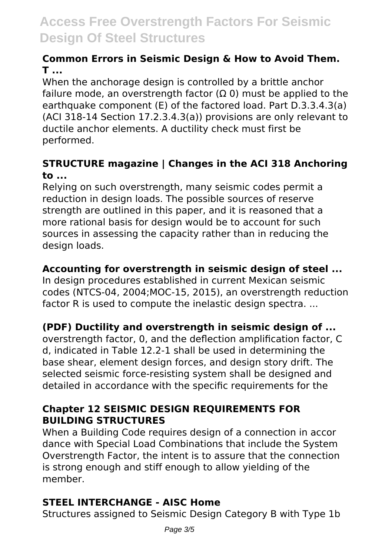# **Common Errors in Seismic Design & How to Avoid Them. T ...**

When the anchorage design is controlled by a brittle anchor failure mode, an overstrength factor ( $\Omega$  0) must be applied to the earthquake component (E) of the factored load. Part D.3.3.4.3(a) (ACI 318-14 Section 17.2.3.4.3(a)) provisions are only relevant to ductile anchor elements. A ductility check must first be performed.

# **STRUCTURE magazine | Changes in the ACI 318 Anchoring to ...**

Relying on such overstrength, many seismic codes permit a reduction in design loads. The possible sources of reserve strength are outlined in this paper, and it is reasoned that a more rational basis for design would be to account for such sources in assessing the capacity rather than in reducing the design loads.

# **Accounting for overstrength in seismic design of steel ...**

In design procedures established in current Mexican seismic codes (NTCS-04, 2004;MOC-15, 2015), an overstrength reduction factor R is used to compute the inelastic design spectra....

# **(PDF) Ductility and overstrength in seismic design of ...**

overstrength factor, 0, and the deflection amplification factor, C d, indicated in Table 12.2-1 shall be used in determining the base shear, element design forces, and design story drift. The selected seismic force-resisting system shall be designed and detailed in accordance with the specific requirements for the

# **Chapter 12 SEISMIC DESIGN REQUIREMENTS FOR BUILDING STRUCTURES**

When a Building Code requires design of a connection in accor dance with Special Load Combinations that include the System Overstrength Factor, the intent is to assure that the connection is strong enough and stiff enough to allow yielding of the member.

# **STEEL INTERCHANGE - AISC Home**

Structures assigned to Seismic Design Category B with Type 1b